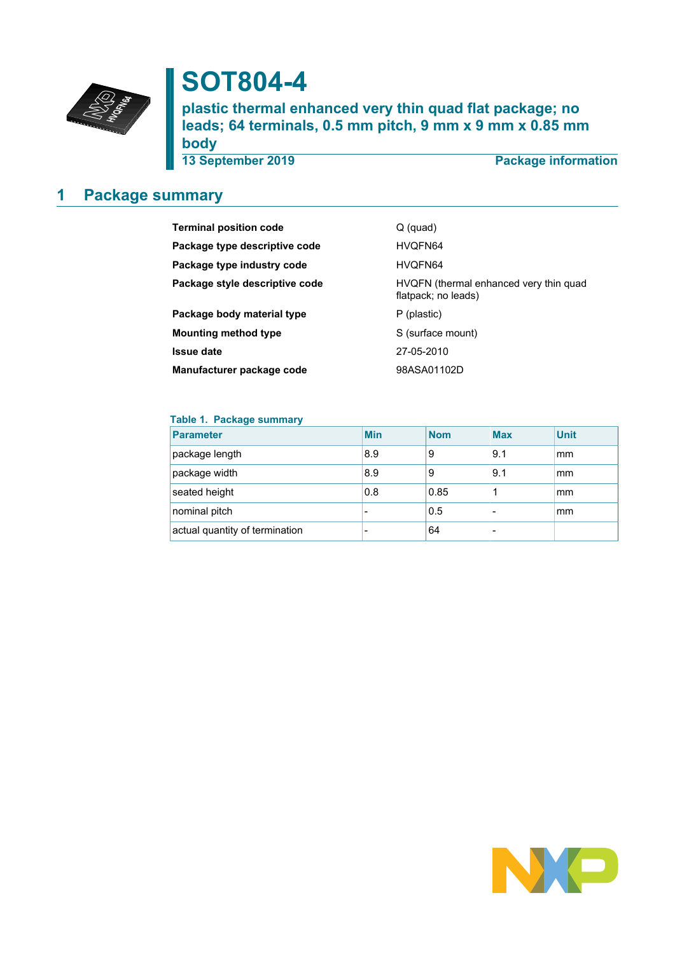

# **SOT804-4**

**plastic thermal enhanced very thin quad flat package; no leads; 64 terminals, 0.5 mm pitch, 9 mm x 9 mm x 0.85 mm body**

**13 September 2019 Package information**

## <span id="page-0-0"></span>**1 Package summary**

| <b>Terminal position code</b>  | Q (quad)                                                      |
|--------------------------------|---------------------------------------------------------------|
|                                |                                                               |
| Package type descriptive code  | HVQFN64                                                       |
| Package type industry code     | HVQFN64                                                       |
| Package style descriptive code | HVQFN (thermal enhanced very thin quad<br>flatpack; no leads) |
| Package body material type     | P (plastic)                                                   |
| <b>Mounting method type</b>    | S (surface mount)                                             |
| <b>Issue date</b>              | 27-05-2010                                                    |
| Manufacturer package code      | 98ASA01102D                                                   |

#### **Table 1. Package summary**

| <b>Parameter</b>               | <b>Min</b> | <b>Nom</b> | <b>Max</b> | <b>Unit</b> |
|--------------------------------|------------|------------|------------|-------------|
| package length                 | 8.9        | 9          | 9.1        | mm          |
| package width                  | 8.9        | 9          | 9.1        | mm          |
| seated height                  | 0.8        | 0.85       |            | mm          |
| nominal pitch                  |            | 0.5        |            | mm          |
| actual quantity of termination |            | 64         |            |             |

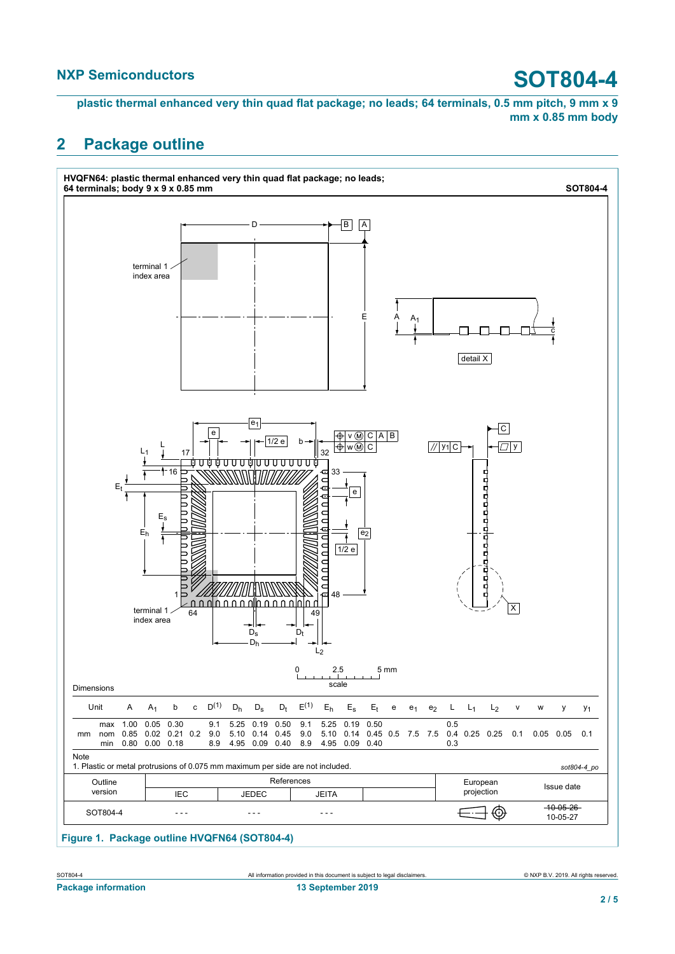**plastic thermal enhanced very thin quad flat package; no leads; 64 terminals, 0.5 mm pitch, 9 mm x 9 mm x 0.85 mm body**

### <span id="page-1-0"></span>**2 Package outline**



**Figure 1. Package outline HVQFN64 (SOT804-4)**

SOT804-4 All information provided in this document is subject to legal disclaimers. © NXP B.V. 2019. All rights reserved.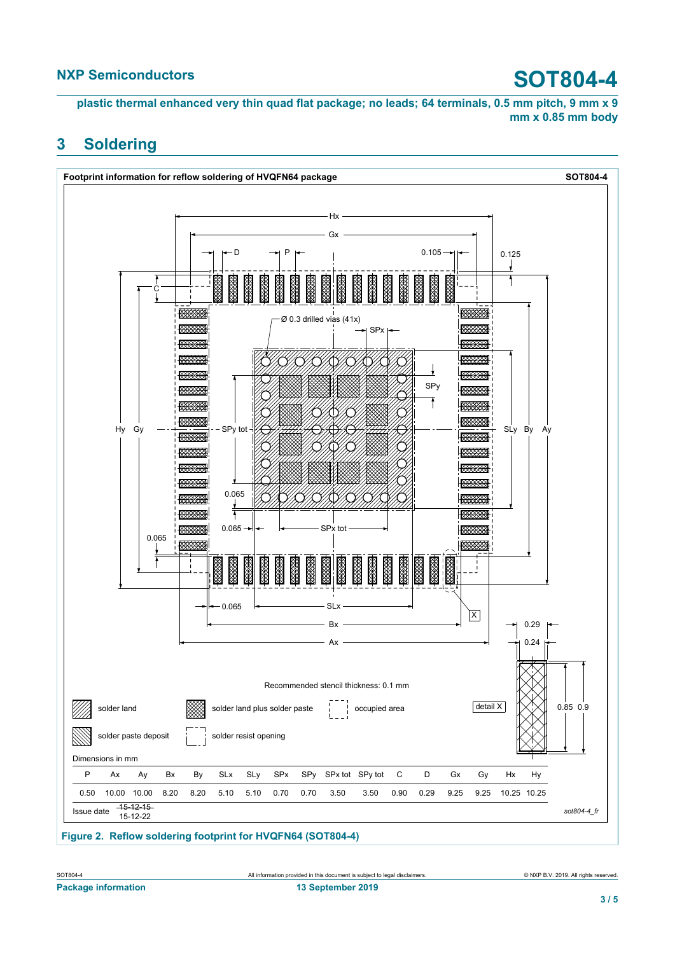**plastic thermal enhanced very thin quad flat package; no leads; 64 terminals, 0.5 mm pitch, 9 mm x 9 mm x 0.85 mm body**

#### <span id="page-2-0"></span>**3 Soldering**



**Figure 2. Reflow soldering footprint for HVQFN64 (SOT804-4)**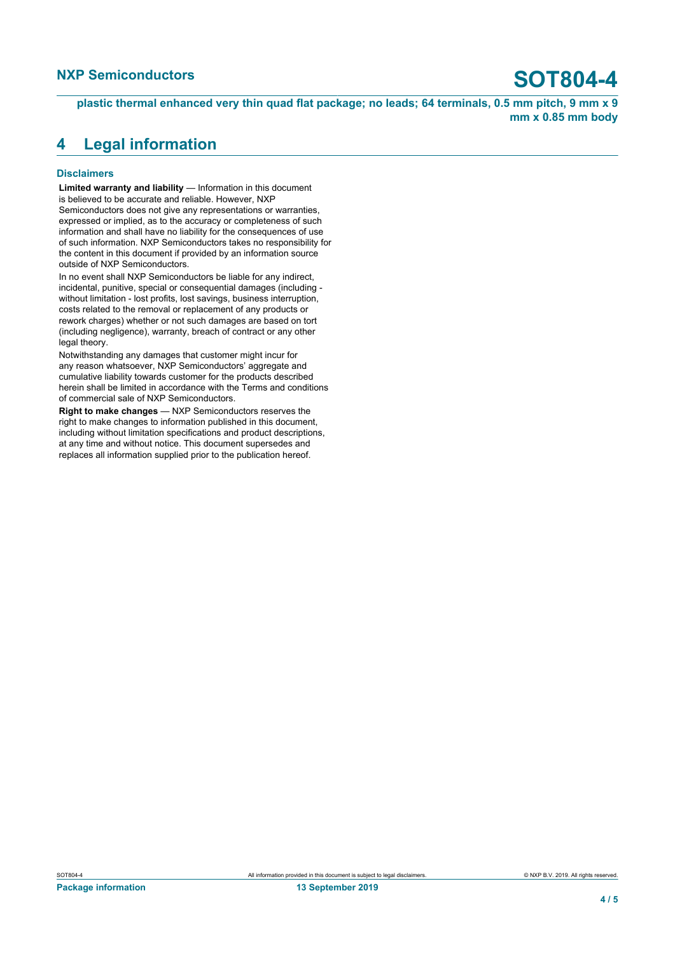**plastic thermal enhanced very thin quad flat package; no leads; 64 terminals, 0.5 mm pitch, 9 mm x 9 mm x 0.85 mm body**

### <span id="page-3-0"></span>**4 Legal information**

#### **Disclaimers**

**Limited warranty and liability** — Information in this document is believed to be accurate and reliable. However, NXP Semiconductors does not give any representations or warranties, expressed or implied, as to the accuracy or completeness of such information and shall have no liability for the consequences of use of such information. NXP Semiconductors takes no responsibility for the content in this document if provided by an information source outside of NXP Semiconductors.

In no event shall NXP Semiconductors be liable for any indirect, incidental, punitive, special or consequential damages (including without limitation - lost profits, lost savings, business interruption, costs related to the removal or replacement of any products or rework charges) whether or not such damages are based on tort (including negligence), warranty, breach of contract or any other legal theory.

Notwithstanding any damages that customer might incur for any reason whatsoever, NXP Semiconductors' aggregate and cumulative liability towards customer for the products described herein shall be limited in accordance with the Terms and conditions of commercial sale of NXP Semiconductors.

**Right to make changes** — NXP Semiconductors reserves the right to make changes to information published in this document, including without limitation specifications and product descriptions, at any time and without notice. This document supersedes and replaces all information supplied prior to the publication hereof.